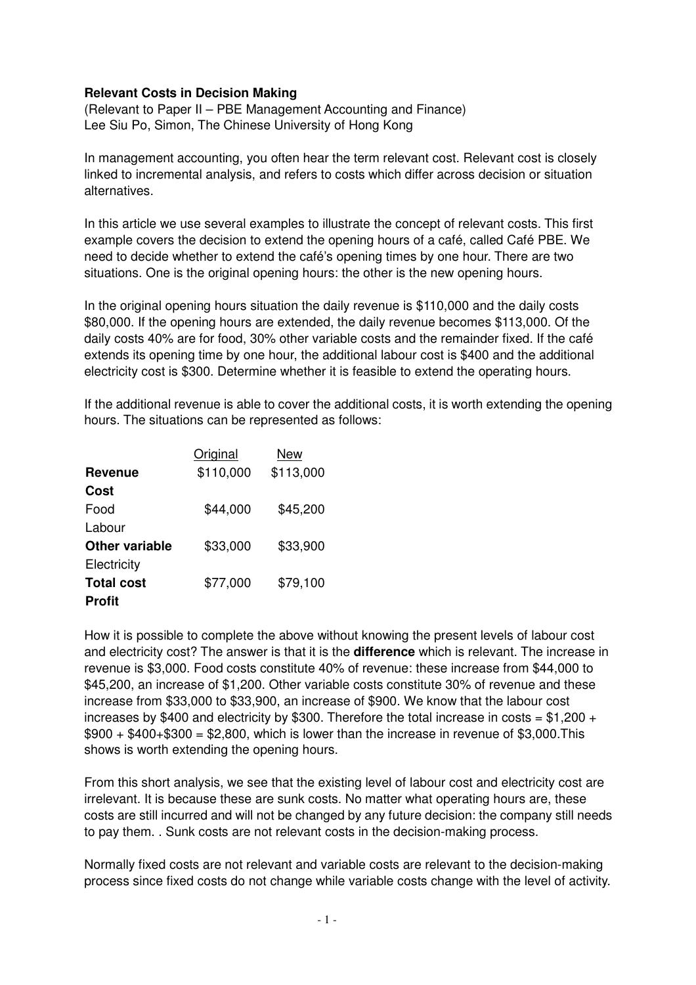## **Relevant Costs in Decision Making**

(Relevant to Paper II – PBE Management Accounting and Finance) Lee Siu Po, Simon, The Chinese University of Hong Kong

In management accounting, you often hear the term relevant cost. Relevant cost is closely linked to incremental analysis, and refers to costs which differ across decision or situation alternatives.

In this article we use several examples to illustrate the concept of relevant costs. This first example covers the decision to extend the opening hours of a café, called Café PBE. We need to decide whether to extend the café's opening times by one hour. There are two situations. One is the original opening hours: the other is the new opening hours.

In the original opening hours situation the daily revenue is \$110,000 and the daily costs \$80,000. If the opening hours are extended, the daily revenue becomes \$113,000. Of the daily costs 40% are for food, 30% other variable costs and the remainder fixed. If the café extends its opening time by one hour, the additional labour cost is \$400 and the additional electricity cost is \$300. Determine whether it is feasible to extend the operating hours.

If the additional revenue is able to cover the additional costs, it is worth extending the opening hours. The situations can be represented as follows:

|                       | Original  | New       |
|-----------------------|-----------|-----------|
| <b>Revenue</b>        | \$110,000 | \$113,000 |
| Cost                  |           |           |
| Food                  | \$44,000  | \$45,200  |
| Labour                |           |           |
| <b>Other variable</b> | \$33,000  | \$33,900  |
| Electricity           |           |           |
| <b>Total cost</b>     | \$77,000  | \$79,100  |
| <b>Profit</b>         |           |           |

How it is possible to complete the above without knowing the present levels of labour cost and electricity cost? The answer is that it is the **difference** which is relevant. The increase in revenue is \$3,000. Food costs constitute 40% of revenue: these increase from \$44,000 to \$45,200, an increase of \$1,200. Other variable costs constitute 30% of revenue and these increase from \$33,000 to \$33,900, an increase of \$900. We know that the labour cost increases by \$400 and electricity by \$300. Therefore the total increase in costs =  $$1,200 +$  $$900 + $400 + $300 = $2,800$ , which is lower than the increase in revenue of \$3,000. This shows is worth extending the opening hours.

From this short analysis, we see that the existing level of labour cost and electricity cost are irrelevant. It is because these are sunk costs. No matter what operating hours are, these costs are still incurred and will not be changed by any future decision: the company still needs to pay them. . Sunk costs are not relevant costs in the decision-making process.

Normally fixed costs are not relevant and variable costs are relevant to the decision-making process since fixed costs do not change while variable costs change with the level of activity.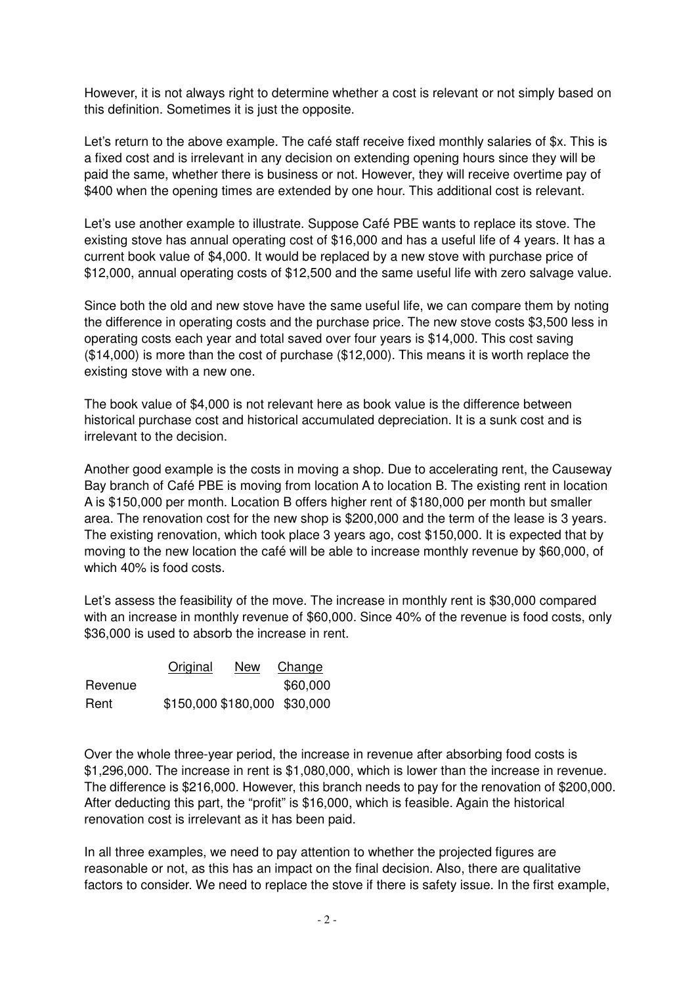However, it is not always right to determine whether a cost is relevant or not simply based on this definition. Sometimes it is just the opposite.

Let's return to the above example. The café staff receive fixed monthly salaries of \$x. This is a fixed cost and is irrelevant in any decision on extending opening hours since they will be paid the same, whether there is business or not. However, they will receive overtime pay of \$400 when the opening times are extended by one hour. This additional cost is relevant.

Let's use another example to illustrate. Suppose Café PBE wants to replace its stove. The existing stove has annual operating cost of \$16,000 and has a useful life of 4 years. It has a current book value of \$4,000. It would be replaced by a new stove with purchase price of \$12,000, annual operating costs of \$12,500 and the same useful life with zero salvage value.

Since both the old and new stove have the same useful life, we can compare them by noting the difference in operating costs and the purchase price. The new stove costs \$3,500 less in operating costs each year and total saved over four years is \$14,000. This cost saving (\$14,000) is more than the cost of purchase (\$12,000). This means it is worth replace the existing stove with a new one.

The book value of \$4,000 is not relevant here as book value is the difference between historical purchase cost and historical accumulated depreciation. It is a sunk cost and is irrelevant to the decision.

Another good example is the costs in moving a shop. Due to accelerating rent, the Causeway Bay branch of Café PBE is moving from location A to location B. The existing rent in location A is \$150,000 per month. Location B offers higher rent of \$180,000 per month but smaller area. The renovation cost for the new shop is \$200,000 and the term of the lease is 3 years. The existing renovation, which took place 3 years ago, cost \$150,000. It is expected that by moving to the new location the café will be able to increase monthly revenue by \$60,000, of which 40% is food costs.

Let's assess the feasibility of the move. The increase in monthly rent is \$30,000 compared with an increase in monthly revenue of \$60,000. Since 40% of the revenue is food costs, only \$36,000 is used to absorb the increase in rent.

|         | Original                     | <b>New</b> | Change   |
|---------|------------------------------|------------|----------|
| Revenue |                              |            | \$60,000 |
| Rent    | \$150,000 \$180,000 \$30,000 |            |          |

Over the whole three-year period, the increase in revenue after absorbing food costs is \$1,296,000. The increase in rent is \$1,080,000, which is lower than the increase in revenue. The difference is \$216,000. However, this branch needs to pay for the renovation of \$200,000. After deducting this part, the "profit" is \$16,000, which is feasible. Again the historical renovation cost is irrelevant as it has been paid.

In all three examples, we need to pay attention to whether the projected figures are reasonable or not, as this has an impact on the final decision. Also, there are qualitative factors to consider. We need to replace the stove if there is safety issue. In the first example,